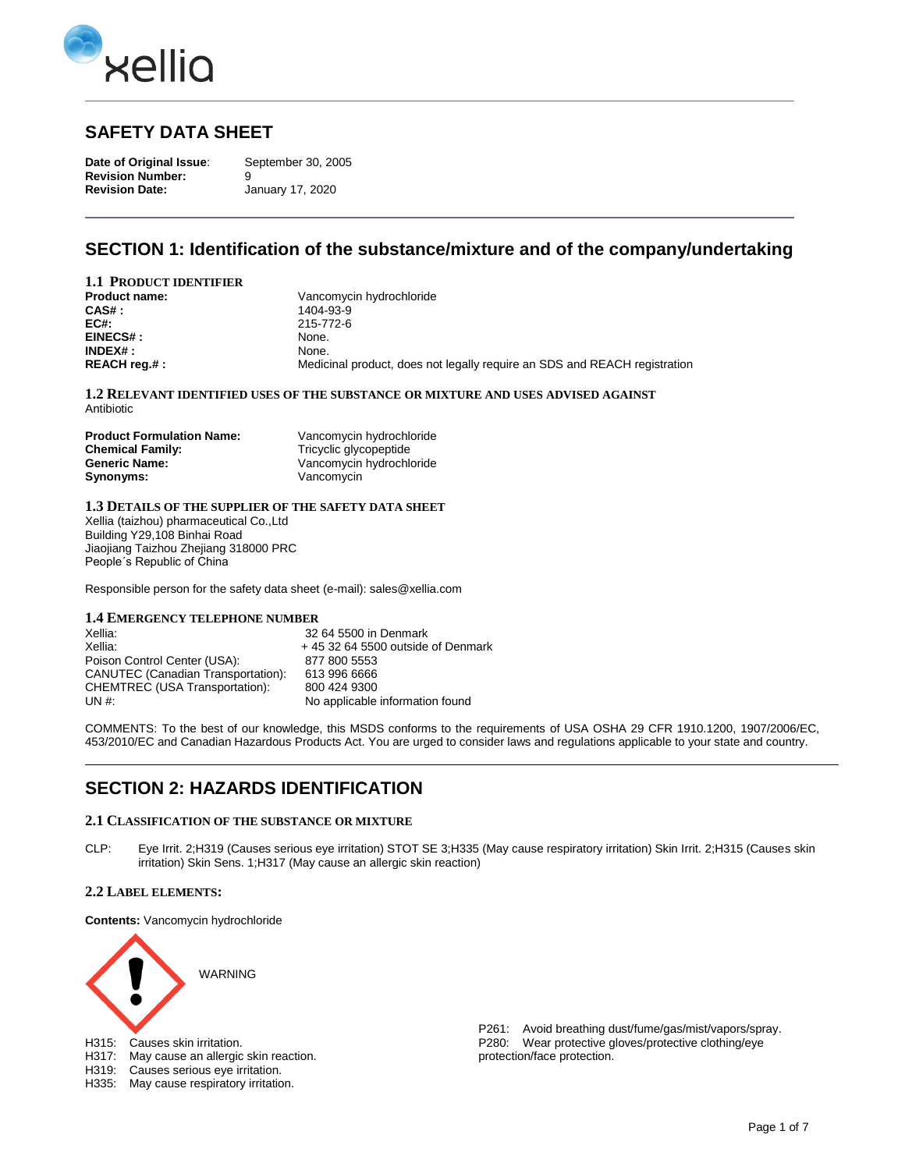

## **SAFETY DATA SHEET**

**Date of Original Issue**: September 30, 2005 **Revision Number:** 9 **Revision Date:** January 17, 2020

## **SECTION 1: Identification of the substance/mixture and of the company/undertaking**

| <b>1.1 PRODUCT IDENTIFIER</b> |                                                                           |
|-------------------------------|---------------------------------------------------------------------------|
| Product name:                 | Vancomycin hydrochloride                                                  |
| $CAS#$ :                      | 1404-93-9                                                                 |
| EC#:                          | 215-772-6                                                                 |
| EINECS#:                      | None.                                                                     |
| $INDEX#$ :                    | None.                                                                     |
| REACH reg.# :                 | Medicinal product, does not legally require an SDS and REACH registration |

**1.2 RELEVANT IDENTIFIED USES OF THE SUBSTANCE OR MIXTURE AND USES ADVISED AGAINST**  Antibiotic

| <b>Product Formulation Name:</b> | Vancomycin hydrochloride |
|----------------------------------|--------------------------|
| <b>Chemical Family:</b>          | Tricyclic glycopeptide   |
| <b>Generic Name:</b>             | Vancomycin hydrochloride |
| Synonyms:                        | Vancomycin               |

#### **1.3 DETAILS OF THE SUPPLIER OF THE SAFETY DATA SHEET**

Xellia (taizhou) pharmaceutical Co.,Ltd Building Y29,108 Binhai Road Jiaojiang Taizhou Zhejiang 318000 PRC People´s Republic of China

Responsible person for the safety data sheet (e-mail): sales@xellia.com

#### **1.4 EMERGENCY TELEPHONE NUMBER**

| Xellia:                                   | 32 64 5500 in Denmark               |
|-------------------------------------------|-------------------------------------|
| Xellia:                                   | $+45$ 32 64 5500 outside of Denmark |
| Poison Control Center (USA):              | 877 800 5553                        |
| <b>CANUTEC (Canadian Transportation):</b> | 613 996 6666                        |
| CHEMTREC (USA Transportation):            | 800 424 9300                        |
| UN #:                                     | No applicable information found     |

COMMENTS: To the best of our knowledge, this MSDS conforms to the requirements of USA OSHA 29 CFR 1910.1200, 1907/2006/EC, 453/2010/EC and Canadian Hazardous Products Act. You are urged to consider laws and regulations applicable to your state and country.

## **SECTION 2: HAZARDS IDENTIFICATION**

### **2.1 CLASSIFICATION OF THE SUBSTANCE OR MIXTURE**

CLP: Eye Irrit. 2;H319 (Causes serious eye irritation) STOT SE 3;H335 (May cause respiratory irritation) Skin Irrit. 2;H315 (Causes skin irritation) Skin Sens. 1;H317 (May cause an allergic skin reaction)

#### **2.2 LABEL ELEMENTS:**

**Contents:** Vancomycin hydrochloride



H335: May cause respiratory irritation.

P261: Avoid breathing dust/fume/gas/mist/vapors/spray. P280: Wear protective gloves/protective clothing/eye protection/face protection.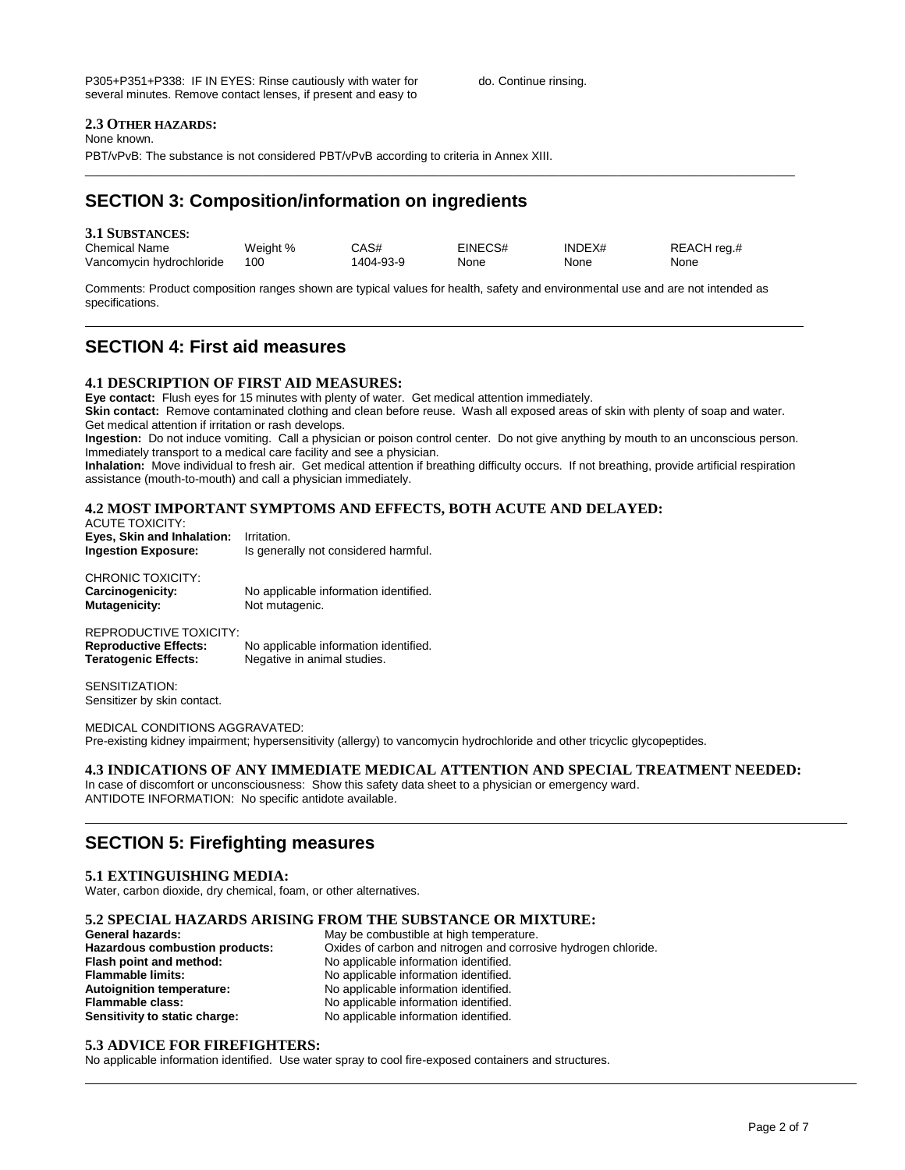### **2.3 OTHER HAZARDS:**

None known.

PBT/vPvB: The substance is not considered PBT/vPvB according to criteria in Annex XIII.

## **SECTION 3: Composition/information on ingredients**

| <b>3.1 SUBSTANCES:</b>   |          |           |         |        |             |
|--------------------------|----------|-----------|---------|--------|-------------|
| <b>Chemical Name</b>     | Weight % | CAS#      | EINECS# | INDEX# | REACH reg.# |
| Vancomycin hydrochloride | 100      | 1404-93-9 | None    | None   | None        |

\_\_\_\_\_\_\_\_\_\_\_\_\_\_\_\_\_\_\_\_\_\_\_\_\_\_\_\_\_\_\_\_\_\_\_\_\_\_\_\_\_\_\_\_\_\_\_\_\_\_\_\_\_\_\_\_\_\_\_\_\_\_\_\_\_\_\_\_\_\_\_\_\_\_\_\_\_\_\_\_\_\_\_\_\_\_\_\_\_\_\_\_\_\_\_\_\_\_\_\_\_\_\_\_\_\_\_\_

Comments: Product composition ranges shown are typical values for health, safety and environmental use and are not intended as specifications.

## **SECTION 4: First aid measures**

#### **4.1 DESCRIPTION OF FIRST AID MEASURES:**

**Eye contact:** Flush eyes for 15 minutes with plenty of water. Get medical attention immediately.

**Skin contact:** Remove contaminated clothing and clean before reuse. Wash all exposed areas of skin with plenty of soap and water. Get medical attention if irritation or rash develops.

**Ingestion:** Do not induce vomiting. Call a physician or poison control center. Do not give anything by mouth to an unconscious person. Immediately transport to a medical care facility and see a physician.

**Inhalation:** Move individual to fresh air. Get medical attention if breathing difficulty occurs. If not breathing, provide artificial respiration assistance (mouth-to-mouth) and call a physician immediately.

### **4.2 MOST IMPORTANT SYMPTOMS AND EFFECTS, BOTH ACUTE AND DELAYED:**

ACUTE TOXICITY: **Eyes, Skin and Inhalation:** Irritation.<br>**Ingestion Exposure:** Is general **Ingestion Exposure:** Is generally not considered harmful.

CHRONIC TOXICITY: **Carcinogenicity:** No applicable information identified. **Mutagenicity:** Not mutagenic.

REPRODUCTIVE TOXICITY: **Reproductive Effects:** No applicable information identified. **Teratogenic Effects:** Negative in animal studies.

SENSITIZATION: Sensitizer by skin contact.

MEDICAL CONDITIONS AGGRAVATED: Pre-existing kidney impairment; hypersensitivity (allergy) to vancomycin hydrochloride and other tricyclic glycopeptides.

#### **4.3 INDICATIONS OF ANY IMMEDIATE MEDICAL ATTENTION AND SPECIAL TREATMENT NEEDED:**

In case of discomfort or unconsciousness: Show this safety data sheet to a physician or emergency ward. ANTIDOTE INFORMATION: No specific antidote available.

### **SECTION 5: Firefighting measures**

#### **5.1 EXTINGUISHING MEDIA:**

Water, carbon dioxide, dry chemical, foam, or other alternatives.

# **5.2 SPECIAL HAZARDS ARISING FROM THE SUBSTANCE OR MIXTURE:**

**General hazards:** May be combustible at high temperature.<br> **Hazardous combustion products:** Oxides of carbon and nitrogen and corros Oxides of carbon and nitrogen and corrosive hydrogen chloride. **Flash point and method:** No applicable information identified. **Flammable limits:** No applicable information identified.<br> **Autoignition temperature:** No applicable information identified. **Autoignition temperature:** No applicable information identified. **Flammable class:** No applicable information identified. **Sensitivity to static charge:** No applicable information identified.

#### **5.3 ADVICE FOR FIREFIGHTERS:**

No applicable information identified. Use water spray to cool fire-exposed containers and structures.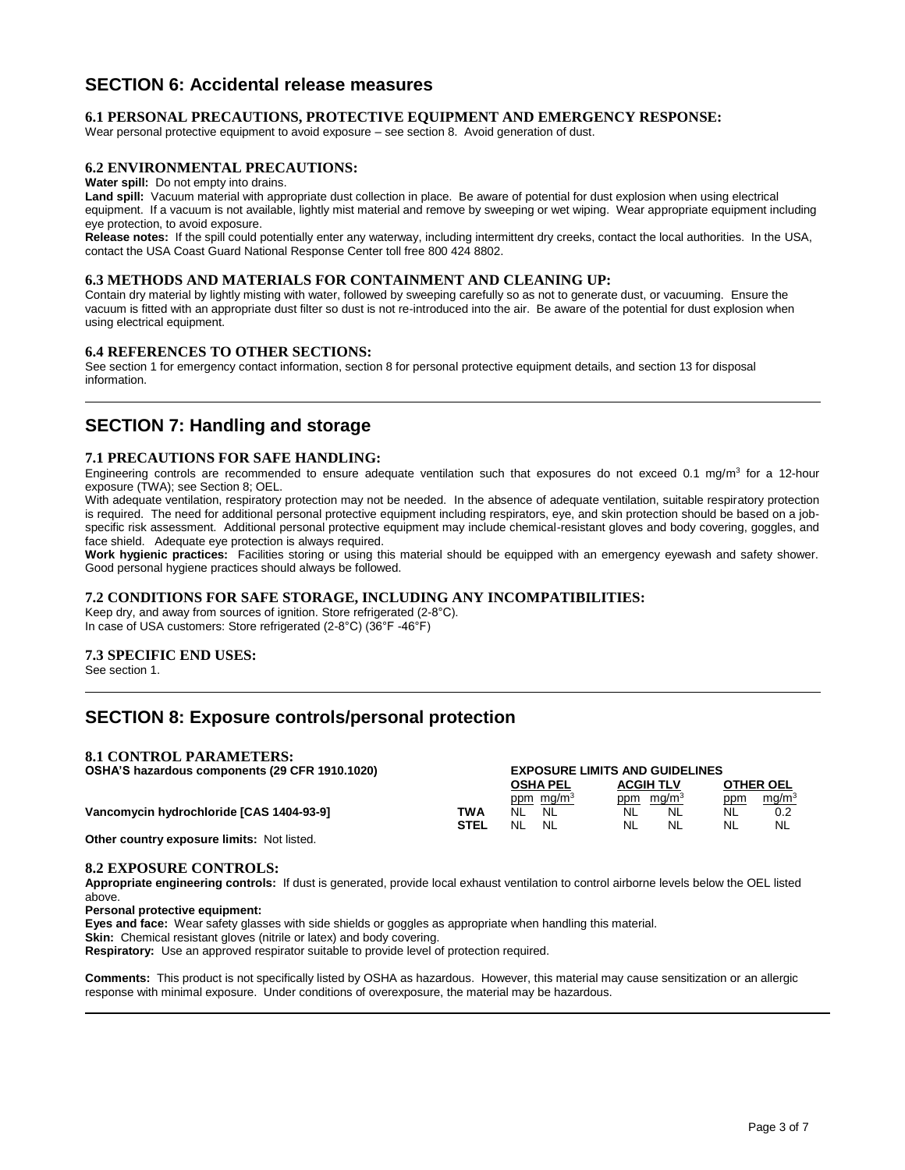## **SECTION 6: Accidental release measures**

#### **6.1 PERSONAL PRECAUTIONS, PROTECTIVE EQUIPMENT AND EMERGENCY RESPONSE:**

Wear personal protective equipment to avoid exposure – see section 8. Avoid generation of dust.

#### **6.2 ENVIRONMENTAL PRECAUTIONS:**

**Water spill:** Do not empty into drains.

**Land spill:** Vacuum material with appropriate dust collection in place. Be aware of potential for dust explosion when using electrical equipment. If a vacuum is not available, lightly mist material and remove by sweeping or wet wiping. Wear appropriate equipment including eye protection, to avoid exposure.

**Release notes:** If the spill could potentially enter any waterway, including intermittent dry creeks, contact the local authorities. In the USA, contact the USA Coast Guard National Response Center toll free 800 424 8802.

#### **6.3 METHODS AND MATERIALS FOR CONTAINMENT AND CLEANING UP:**

Contain dry material by lightly misting with water, followed by sweeping carefully so as not to generate dust, or vacuuming. Ensure the vacuum is fitted with an appropriate dust filter so dust is not re-introduced into the air. Be aware of the potential for dust explosion when using electrical equipment.

#### **6.4 REFERENCES TO OTHER SECTIONS:**

See section 1 for emergency contact information, section 8 for personal protective equipment details, and section 13 for disposal information.

### **SECTION 7: Handling and storage**

#### **7.1 PRECAUTIONS FOR SAFE HANDLING:**

Engineering controls are recommended to ensure adequate ventilation such that exposures do not exceed 0.1 mg/m<sup>3</sup> for a 12-hour exposure (TWA); see Section 8; OEL.

With adequate ventilation, respiratory protection may not be needed. In the absence of adequate ventilation, suitable respiratory protection is required. The need for additional personal protective equipment including respirators, eye, and skin protection should be based on a jobspecific risk assessment. Additional personal protective equipment may include chemical-resistant gloves and body covering, goggles, and face shield. Adequate eye protection is always required.

**Work hygienic practices:** Facilities storing or using this material should be equipped with an emergency eyewash and safety shower. Good personal hygiene practices should always be followed.

#### **7.2 CONDITIONS FOR SAFE STORAGE, INCLUDING ANY INCOMPATIBILITIES:**

Keep dry, and away from sources of ignition. Store refrigerated (2-8°C). In case of USA customers: Store refrigerated (2-8°C) (36°F -46°F)

#### **7.3 SPECIFIC END USES:**

See section 1.

## **SECTION 8: Exposure controls/personal protection**

#### **8.1 CONTROL PARAMETERS:**

| OSHA'S hazardous components (29 CFR 1910.1020) | <b>EXPOSURE LIMITS AND GUIDELINES</b> |                       |                       |           |                   |
|------------------------------------------------|---------------------------------------|-----------------------|-----------------------|-----------|-------------------|
|                                                |                                       | <b>OSHA PEL</b>       | <b>ACGIH TLV</b>      |           | <b>OTHER OEL</b>  |
|                                                |                                       | ppm mg/m <sup>3</sup> | ppm mg/m <sup>3</sup> | ppm       | mg/m <sup>3</sup> |
| Vancomycin hydrochloride [CAS 1404-93-9]       | TWA                                   | NL.<br>NL.            | NL<br><b>NL</b>       | <b>NL</b> |                   |
|                                                | <b>STEL</b>                           | NL<br>NL              | NL<br>NL.             | NL        | NL                |
| Other extrators expenses that the bet listed   |                                       |                       |                       |           |                   |

**Other country exposure limits:** Not listed.

#### **8.2 EXPOSURE CONTROLS:**

**Appropriate engineering controls:** If dust is generated, provide local exhaust ventilation to control airborne levels below the OEL listed above.

**Personal protective equipment:** 

**Eyes and face:** Wear safety glasses with side shields or goggles as appropriate when handling this material. **Skin:** Chemical resistant gloves (nitrile or latex) and body covering. **Respiratory:** Use an approved respirator suitable to provide level of protection required.

**Comments:** This product is not specifically listed by OSHA as hazardous. However, this material may cause sensitization or an allergic response with minimal exposure. Under conditions of overexposure, the material may be hazardous.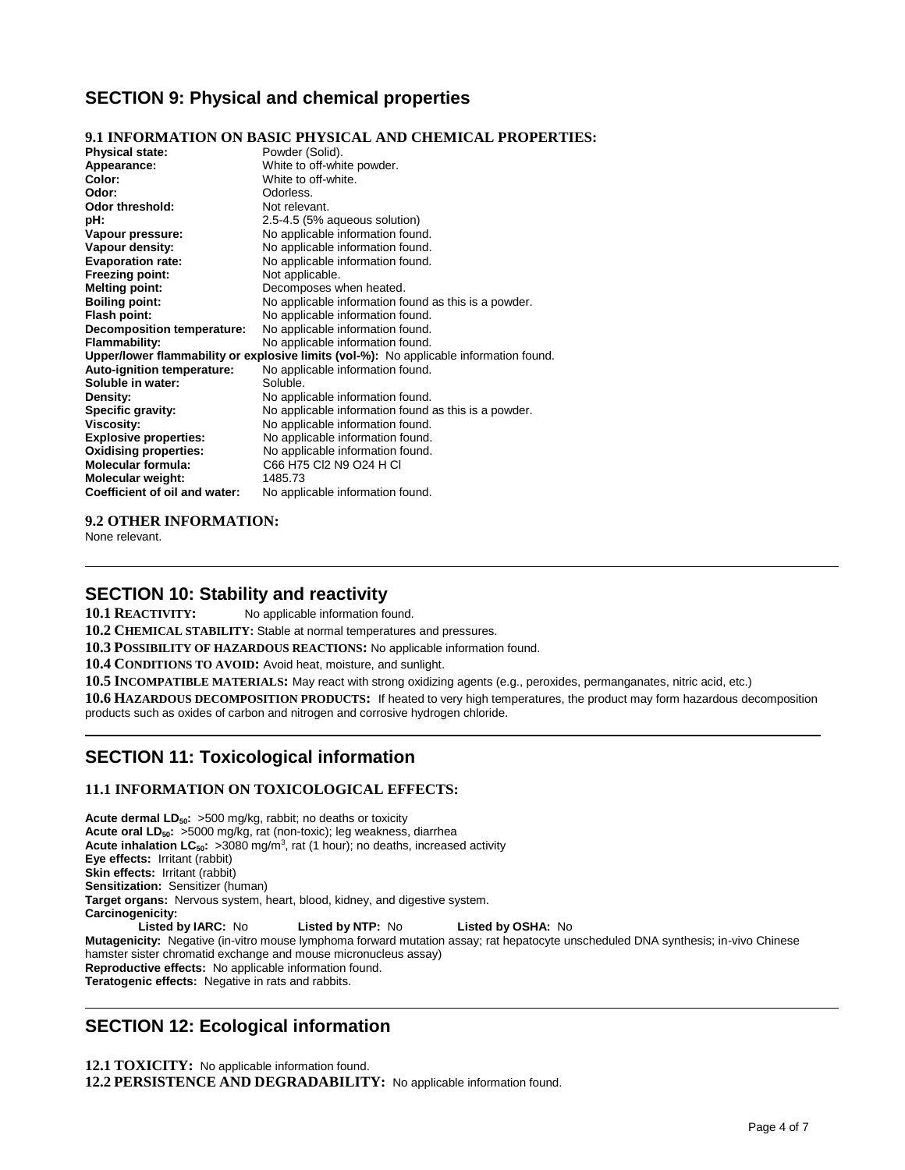## **SECTION 9: Physical and chemical properties**

### **9.1 INFORMATION ON BASIC PHYSICAL AND CHEMICAL PROPERTIES:**

| <b>Physical state:</b>            | Powder (Solid).                                                                        |
|-----------------------------------|----------------------------------------------------------------------------------------|
| Appearance:                       | White to off-white powder.                                                             |
| Color:                            | White to off-white.                                                                    |
| Odor:                             | Odorless.                                                                              |
| Odor threshold:                   | Not relevant.                                                                          |
| pH:                               | 2.5-4.5 (5% aqueous solution)                                                          |
| Vapour pressure:                  | No applicable information found.                                                       |
| Vapour density:                   | No applicable information found.                                                       |
| <b>Evaporation rate:</b>          | No applicable information found.                                                       |
| Freezing point:                   | Not applicable.                                                                        |
| <b>Melting point:</b>             | Decomposes when heated.                                                                |
| <b>Boiling point:</b>             | No applicable information found as this is a powder.                                   |
| Flash point:                      | No applicable information found.                                                       |
| <b>Decomposition temperature:</b> | No applicable information found.                                                       |
| <b>Flammability:</b>              | No applicable information found.                                                       |
|                                   | Upper/lower flammability or explosive limits (vol-%): No applicable information found. |
| Auto-ignition temperature:        | No applicable information found.                                                       |
| Soluble in water:                 | Soluble.                                                                               |
| Density:                          | No applicable information found.                                                       |
| Specific gravity:                 | No applicable information found as this is a powder.                                   |
| Viscosity:                        | No applicable information found.                                                       |
| <b>Explosive properties:</b>      | No applicable information found.                                                       |
| <b>Oxidising properties:</b>      | No applicable information found.                                                       |
| <b>Molecular formula:</b>         | C66 H75 CI2 N9 O24 H CI                                                                |
| Molecular weight:                 | 1485.73                                                                                |
| Coefficient of oil and water:     | No applicable information found.                                                       |

#### **9.2 OTHER INFORMATION:**

None relevant.

### **SECTION 10: Stability and reactivity**

**10.1 REACTIVITY:** No applicable information found.

**10.2 CHEMICAL STABILITY:** Stable at normal temperatures and pressures.

**10.3 POSSIBILITY OF HAZARDOUS REACTIONS:** No applicable information found.

**10.4 CONDITIONS TO AVOID:** Avoid heat, moisture, and sunlight.

**10.5 INCOMPATIBLE MATERIALS:** May react with strong oxidizing agents (e.g., peroxides, permanganates, nitric acid, etc.)

**10.6 HAZARDOUS DECOMPOSITION PRODUCTS:** If heated to very high temperatures, the product may form hazardous decomposition products such as oxides of carbon and nitrogen and corrosive hydrogen chloride.

## **SECTION 11: Toxicological information**

### **11.1 INFORMATION ON TOXICOLOGICAL EFFECTS:**

**Acute dermal LD50:** >500 mg/kg, rabbit; no deaths or toxicity **Acute oral LD50:** >5000 mg/kg, rat (non-toxic); leg weakness, diarrhea Acute inhalation LC<sub>50</sub>: >3080 mg/m<sup>3</sup>, rat (1 hour); no deaths, increased activity **Eye effects:** Irritant (rabbit) **Skin effects:** Irritant (rabbit) **Sensitization:** Sensitizer (human) **Target organs:** Nervous system, heart, blood, kidney, and digestive system. **Carcinogenicity: Listed by IARC:** No **Listed by NTP:** No **Listed by OSHA:** No **Mutagenicity:** Negative (in-vitro mouse lymphoma forward mutation assay; rat hepatocyte unscheduled DNA synthesis; in-vivo Chinese hamster sister chromatid exchange and mouse micronucleus assay) **Reproductive effects:** No applicable information found. **Teratogenic effects:** Negative in rats and rabbits.

## **SECTION 12: Ecological information**

**12.1 TOXICITY:** No applicable information found. **12.2 PERSISTENCE AND DEGRADABILITY:** No applicable information found.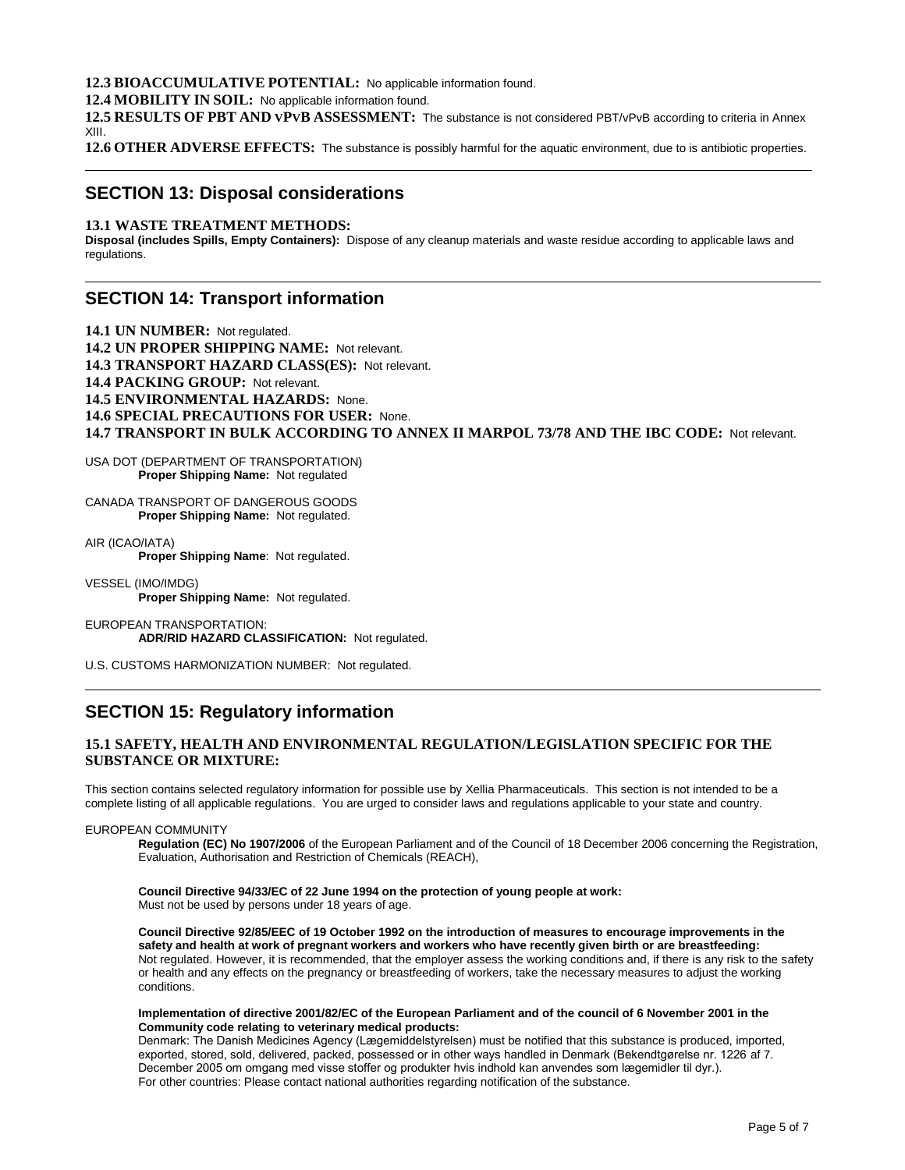#### **12.3 BIOACCUMULATIVE POTENTIAL:** No applicable information found.

**12.4 MOBILITY IN SOIL:** No applicable information found.

**12.5 RESULTS OF PBT AND VPVB ASSESSMENT:** The substance is not considered PBT/vPvB according to criteria in Annex XIII.

**12.6 OTHER ADVERSE EFFECTS:** The substance is possibly harmful for the aquatic environment, due to is antibiotic properties.

### **SECTION 13: Disposal considerations**

#### **13.1 WASTE TREATMENT METHODS:**

**Disposal (includes Spills, Empty Containers):** Dispose of any cleanup materials and waste residue according to applicable laws and regulations.

### **SECTION 14: Transport information**

**14.1 UN NUMBER:** Not regulated. **14.2 UN PROPER SHIPPING NAME:** Not relevant. **14.3 TRANSPORT HAZARD CLASS(ES):** Not relevant. **14.4 PACKING GROUP:** Not relevant. **14.5 ENVIRONMENTAL HAZARDS:** None. **14.6 SPECIAL PRECAUTIONS FOR USER:** None. **14.7 TRANSPORT IN BULK ACCORDING TO ANNEX II MARPOL 73/78 AND THE IBC CODE:** Not relevant.

USA DOT (DEPARTMENT OF TRANSPORTATION) **Proper Shipping Name:** Not regulated

CANADA TRANSPORT OF DANGEROUS GOODS **Proper Shipping Name:** Not regulated.

AIR (ICAO/IATA) **Proper Shipping Name**: Not regulated.

VESSEL (IMO/IMDG) **Proper Shipping Name:** Not regulated.

EUROPEAN TRANSPORTATION: **ADR/RID HAZARD CLASSIFICATION:** Not regulated.

U.S. CUSTOMS HARMONIZATION NUMBER: Not regulated.

## **SECTION 15: Regulatory information**

### **15.1 SAFETY, HEALTH AND ENVIRONMENTAL REGULATION/LEGISLATION SPECIFIC FOR THE SUBSTANCE OR MIXTURE:**

This section contains selected regulatory information for possible use by Xellia Pharmaceuticals. This section is not intended to be a complete listing of all applicable regulations. You are urged to consider laws and regulations applicable to your state and country.

#### EUROPEAN COMMUNITY

**Regulation (EC) No 1907/2006** of the European Parliament and of the Council of 18 December 2006 concerning the Registration, Evaluation, Authorisation and Restriction of Chemicals (REACH),

#### **Council Directive 94/33/EC of 22 June 1994 on the protection of young people at work:** Must not be used by persons under 18 years of age.

**Council Directive 92/85/EEC of 19 October 1992 on the introduction of measures to encourage improvements in the safety and health at work of pregnant workers and workers who have recently given birth or are breastfeeding:** Not regulated. However, it is recommended, that the employer assess the working conditions and, if there is any risk to the safety or health and any effects on the pregnancy or breastfeeding of workers, take the necessary measures to adjust the working conditions.

#### **Implementation of directive 2001/82/EC of the European Parliament and of the council of 6 November 2001 in the Community code relating to veterinary medical products:**

Denmark: The Danish Medicines Agency (Lægemiddelstyrelsen) must be notified that this substance is produced, imported, exported, stored, sold, delivered, packed, possessed or in other ways handled in Denmark (Bekendtgørelse nr. 1226 af 7. December 2005 om omgang med visse stoffer og produkter hvis indhold kan anvendes som lægemidler til dyr.). For other countries: Please contact national authorities regarding notification of the substance.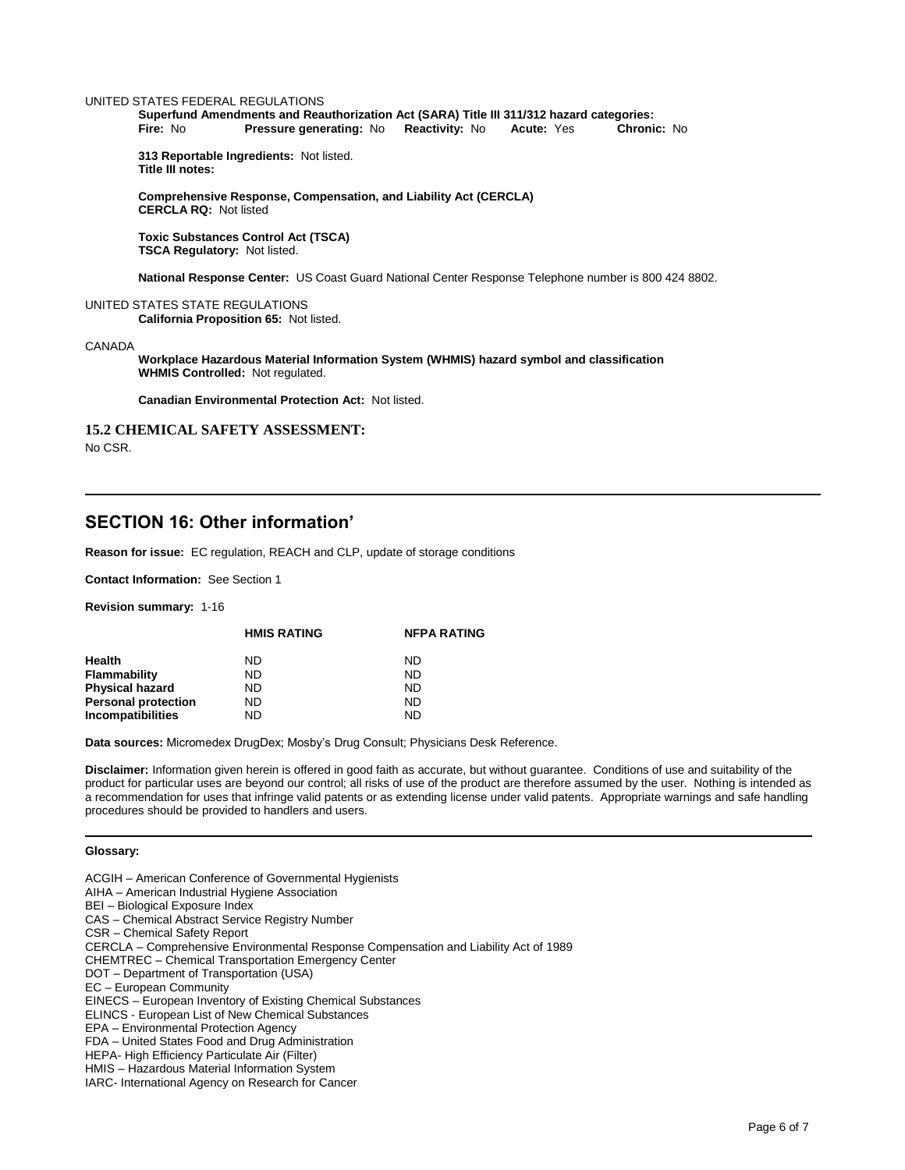#### UNITED STATES FEDERAL REGULATIONS

**Superfund Amendments and Reauthorization Act (SARA) Title III 311/312 hazard categories: Fire:** No **Pressure generating: No Reactivity: No Acute: Yes** 

**313 Reportable Ingredients:** Not listed. **Title III notes:** 

**Comprehensive Response, Compensation, and Liability Act (CERCLA) CERCLA RQ:** Not listed

**Toxic Substances Control Act (TSCA) TSCA Regulatory:** Not listed.

**National Response Center:** US Coast Guard National Center Response Telephone number is 800 424 8802.

#### UNITED STATES STATE REGULATIONS

**California Proposition 65:** Not listed.

#### CANADA

**Workplace Hazardous Material Information System (WHMIS) hazard symbol and classification WHMIS Controlled:** Not regulated.

**Canadian Environmental Protection Act:** Not listed.

### **15.2 CHEMICAL SAFETY ASSESSMENT:**

No CSR.

### **SECTION 16: Other information'**

**Reason for issue:** EC regulation, REACH and CLP, update of storage conditions

**Contact Information:** See Section 1

**Revision summary:** 1-16

|                            | <b>HMIS RATING</b> | <b>NFPA RATING</b> |
|----------------------------|--------------------|--------------------|
| Health                     | ND.                | ND                 |
| Flammability               | ND.                | <b>ND</b>          |
| <b>Physical hazard</b>     | ND.                | ND                 |
| <b>Personal protection</b> | ND.                | ND                 |
| Incompatibilities          | ND                 | ND                 |

**Data sources:** Micromedex DrugDex; Mosby's Drug Consult; Physicians Desk Reference.

**Disclaimer:** Information given herein is offered in good faith as accurate, but without guarantee. Conditions of use and suitability of the product for particular uses are beyond our control; all risks of use of the product are therefore assumed by the user. Nothing is intended as a recommendation for uses that infringe valid patents or as extending license under valid patents. Appropriate warnings and safe handling procedures should be provided to handlers and users.

#### **Glossary:**

- ACGIH American Conference of Governmental Hygienists
- AIHA American Industrial Hygiene Association
- BEI Biological Exposure Index
- CAS Chemical Abstract Service Registry Number
- CSR Chemical Safety Report
- CERCLA Comprehensive Environmental Response Compensation and Liability Act of 1989
- CHEMTREC Chemical Transportation Emergency Center
- DOT Department of Transportation (USA)
- EC European Community
- EINECS European Inventory of Existing Chemical Substances
- ELINCS European List of New Chemical Substances
- EPA Environmental Protection Agency
- FDA United States Food and Drug Administration
- HEPA- High Efficiency Particulate Air (Filter)
- HMIS Hazardous Material Information System
- IARC- International Agency on Research for Cancer